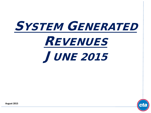



**August 2015**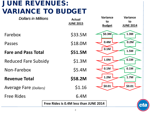# JUNE REVENUES: VARIANCE TO BUDGET

| <b>Dollars in Millions</b>    | <b>Actual</b><br><b>JUNE 2015</b>      | Variance<br><b>Variance</b><br>to<br>to<br><b>Budget</b><br><b>JUNE 2014</b> |
|-------------------------------|----------------------------------------|------------------------------------------------------------------------------|
| Farebox                       | \$33.5M                                | \$0.3M<br>1.3M                                                               |
| Passes                        | \$18.0M                                | 0.4M<br>0.2M                                                                 |
| <b>Fare and Pass Total</b>    | \$51.5M                                | 0.1M<br>1.5M                                                                 |
| <b>Reduced Fare Subsidy</b>   | \$1.3M                                 | 1.0M<br>0.1M                                                                 |
| Non-Farebox                   | \$5.4M                                 | 0.1M<br>0.1M                                                                 |
| <b>Revenue Total</b>          | \$58.2M                                | 1.2M<br>1.7M                                                                 |
| <b>Average Fare (Dollars)</b> | \$1.16                                 | \$0.01<br>\$0.01                                                             |
| <b>Free Rides</b>             | 6.4M                                   |                                                                              |
|                               | Free Rides is 0.4M less than JUNE 2014 | ct                                                                           |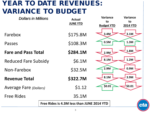### YEAR TO DATE REVENUES: VARIANCE TO BUDGET

| <b>Dollars in Millions</b>    | <b>Actual</b>                                    | <b>Variance</b><br>to | <b>Variance</b>       |
|-------------------------------|--------------------------------------------------|-----------------------|-----------------------|
|                               | <b>JUNE YTD</b>                                  | <b>Budget YTD</b>     | to<br><b>2014 YTD</b> |
| Farebox                       | \$175.8M                                         | 3.4M                  | 3.1M                  |
| Passes                        | \$108.3M                                         | 0.5M                  | 1.3M                  |
| <b>Fare and Pass Total</b>    | \$284.1M                                         | 2.9M                  | 1.8M                  |
| <b>Reduced Fare Subsidy</b>   | \$6.1M                                           | 8.1M                  | 1.2M                  |
| Non-Farebox                   | \$32.5M                                          | 2.9M                  | 0.9M                  |
| <b>Revenue Total</b>          | \$322.7M                                         | 8.1M                  | 3.9M                  |
| <b>Average Fare (Dollars)</b> | \$1.12                                           | \$0.01                | \$0.01                |
| <b>Free Rides</b>             | 35.1M                                            |                       |                       |
|                               | Free Rides is 4.3M less than JUNE 2014 YTD<br>ct |                       |                       |
|                               |                                                  |                       |                       |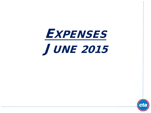**EXPENSES** JUNE 2015

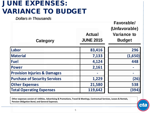# JUNE EXPENSES: VARIANCE TO BUDGET

*Dollars in Thousands*

| Category                                | <b>Actual</b><br><b>JUNE 2015</b> | <b>Favorable/</b><br>(Unfavorable)<br><b>Variance to</b><br><b>Budget</b> |
|-----------------------------------------|-----------------------------------|---------------------------------------------------------------------------|
| Labor                                   | 83,416                            | 296                                                                       |
| <b>Material</b>                         | 7,133                             | (1,650)                                                                   |
| <b>Fuel</b>                             | 4,124                             | 448                                                                       |
| <b>Power</b>                            | 2,161                             |                                                                           |
| <b>Provision Injuries &amp; Damages</b> |                                   |                                                                           |
| <b>Purchase of Security Services</b>    | 1,229                             | (26)                                                                      |
| <b>Other Expenses</b>                   | 21,580                            | 538                                                                       |
| <b>Total Operating Expenses</b>         | 119,642                           | (394)                                                                     |

**Other expenses consist of: Utilities, Advertising & Promotions, Travel & Meetings, Contractual Services, Leases & Rentals, Pension Obligation Bond, and General Expenses.**

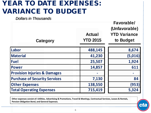### YEAR TO DATE EXPENSES: VARIANCE TO BUDGET

*Dollars in Thousands*

| Category                                | <b>Actual</b><br><b>YTD 2015</b> | <b>Favorable/</b><br>(Unfavorable)<br><b>YTD Variance</b><br>to Budget |
|-----------------------------------------|----------------------------------|------------------------------------------------------------------------|
| Labor                                   | 488,145                          | 8,674                                                                  |
| <b>Material</b>                         | 41,230                           | (5,016)                                                                |
| <b>Fuel</b>                             | 25,507                           | 1,924                                                                  |
| <b>Power</b>                            | 14,857                           | 611                                                                    |
| <b>Provision Injuries &amp; Damages</b> |                                  |                                                                        |
| <b>Purchase of Security Services</b>    | 7,130                            | 84                                                                     |
| <b>Other Expenses</b>                   | 138,550                          | (953)                                                                  |
| <b>Total Operating Expenses</b>         | 715,419                          | 5,324                                                                  |

**Other expenses consist of: Utilities, Advertising & Promotions, Travel & Meetings, Contractual Services, Leases & Rentals, Pension Obligation Bond, and General Expenses.**